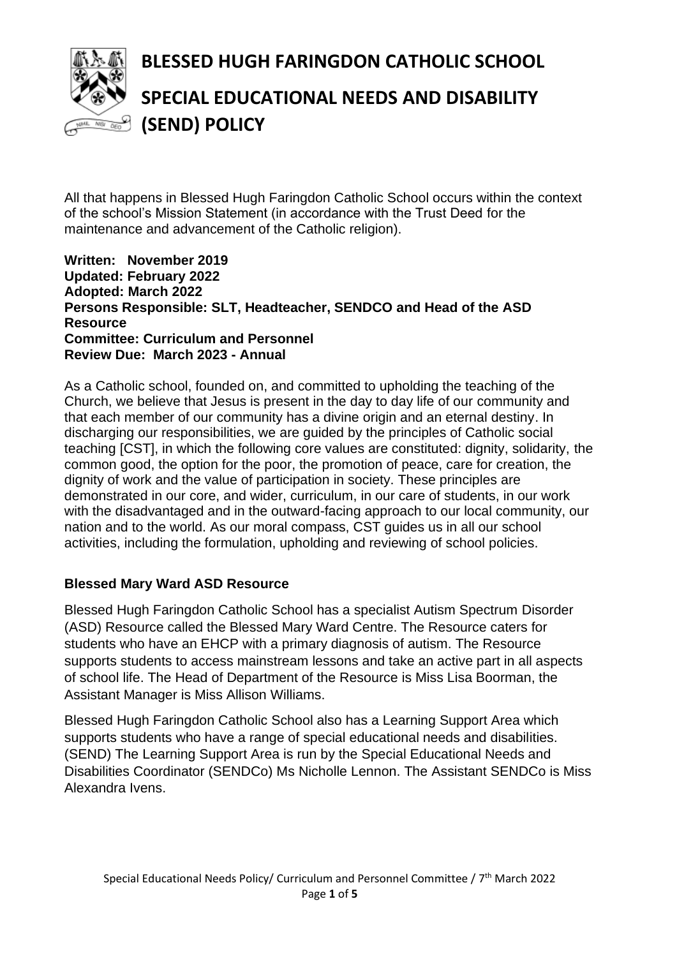

# **BLESSED HUGH FARINGDON CATHOLIC SCHOOL SPECIAL EDUCATIONAL NEEDS AND DISABILITY (SEND) POLICY**

All that happens in Blessed Hugh Faringdon Catholic School occurs within the context of the school's Mission Statement (in accordance with the Trust Deed for the maintenance and advancement of the Catholic religion).

#### **Written: November 2019 Updated: February 2022 Adopted: March 2022 Persons Responsible: SLT, Headteacher, SENDCO and Head of the ASD Resource Committee: Curriculum and Personnel Review Due: March 2023 - Annual**

As a Catholic school, founded on, and committed to upholding the teaching of the Church, we believe that Jesus is present in the day to day life of our community and that each member of our community has a divine origin and an eternal destiny. In discharging our responsibilities, we are guided by the principles of Catholic social teaching [CST], in which the following core values are constituted: dignity, solidarity, the common good, the option for the poor, the promotion of peace, care for creation, the dignity of work and the value of participation in society. These principles are demonstrated in our core, and wider, curriculum, in our care of students, in our work with the disadvantaged and in the outward-facing approach to our local community, our nation and to the world. As our moral compass, CST guides us in all our school activities, including the formulation, upholding and reviewing of school policies.

# **Blessed Mary Ward ASD Resource**

Blessed Hugh Faringdon Catholic School has a specialist Autism Spectrum Disorder (ASD) Resource called the Blessed Mary Ward Centre. The Resource caters for students who have an EHCP with a primary diagnosis of autism. The Resource supports students to access mainstream lessons and take an active part in all aspects of school life. The Head of Department of the Resource is Miss Lisa Boorman, the Assistant Manager is Miss Allison Williams.

Blessed Hugh Faringdon Catholic School also has a Learning Support Area which supports students who have a range of special educational needs and disabilities. (SEND) The Learning Support Area is run by the Special Educational Needs and Disabilities Coordinator (SENDCo) Ms Nicholle Lennon. The Assistant SENDCo is Miss Alexandra Ivens.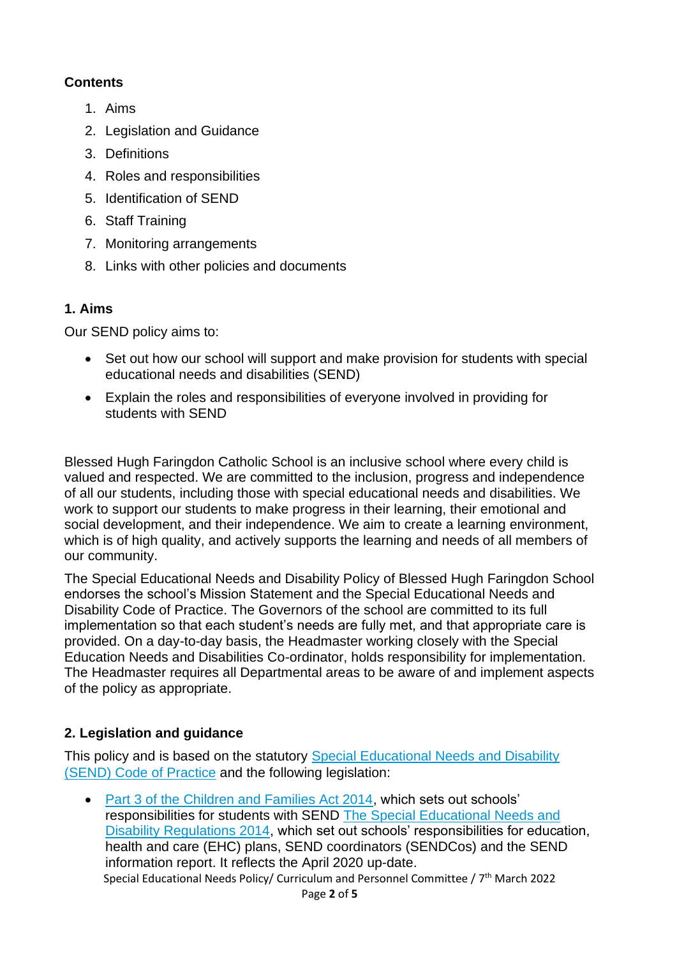# **Contents**

- 1. Aims
- 2. Legislation and Guidance
- 3. Definitions
- 4. Roles and responsibilities
- 5. Identification of SEND
- 6. Staff Training
- 7. Monitoring arrangements
- 8. Links with other policies and documents

# **1. Aims**

Our SEND policy aims to:

- Set out how our school will support and make provision for students with special educational needs and disabilities (SEND)
- Explain the roles and responsibilities of everyone involved in providing for students with SEND

Blessed Hugh Faringdon Catholic School is an inclusive school where every child is valued and respected. We are committed to the inclusion, progress and independence of all our students, including those with special educational needs and disabilities. We work to support our students to make progress in their learning, their emotional and social development, and their independence. We aim to create a learning environment, which is of high quality, and actively supports the learning and needs of all members of our community.

The Special Educational Needs and Disability Policy of Blessed Hugh Faringdon School endorses the school's Mission Statement and the Special Educational Needs and Disability Code of Practice. The Governors of the school are committed to its full implementation so that each student's needs are fully met, and that appropriate care is provided. On a day-to-day basis, the Headmaster working closely with the Special Education Needs and Disabilities Co-ordinator, holds responsibility for implementation. The Headmaster requires all Departmental areas to be aware of and implement aspects of the policy as appropriate.

# **2. Legislation and guidance**

This policy and is based on the statutory [Special Educational Needs and Disability](https://www.gov.uk/government/uploads/system/uploads/attachment_data/file/398815/SEND_Code_of_Practice_January_2015.pdf)  [\(SEND\) Code of Practice](https://www.gov.uk/government/uploads/system/uploads/attachment_data/file/398815/SEND_Code_of_Practice_January_2015.pdf) and the following legislation:

Special Educational Needs Policy/ Curriculum and Personnel Committee / 7<sup>th</sup> March 2022 • [Part 3 of the Children and Families Act 2014,](http://www.legislation.gov.uk/ukpga/2014/6/part/3) which sets out schools' responsibilities for students with SEND [The Special Educational Needs and](http://www.legislation.gov.uk/uksi/2014/1530/contents/made)  [Disability Regulations 2014,](http://www.legislation.gov.uk/uksi/2014/1530/contents/made) which set out schools' responsibilities for education, health and care (EHC) plans, SEND coordinators (SENDCos) and the SEND information report. It reflects the April 2020 up-date.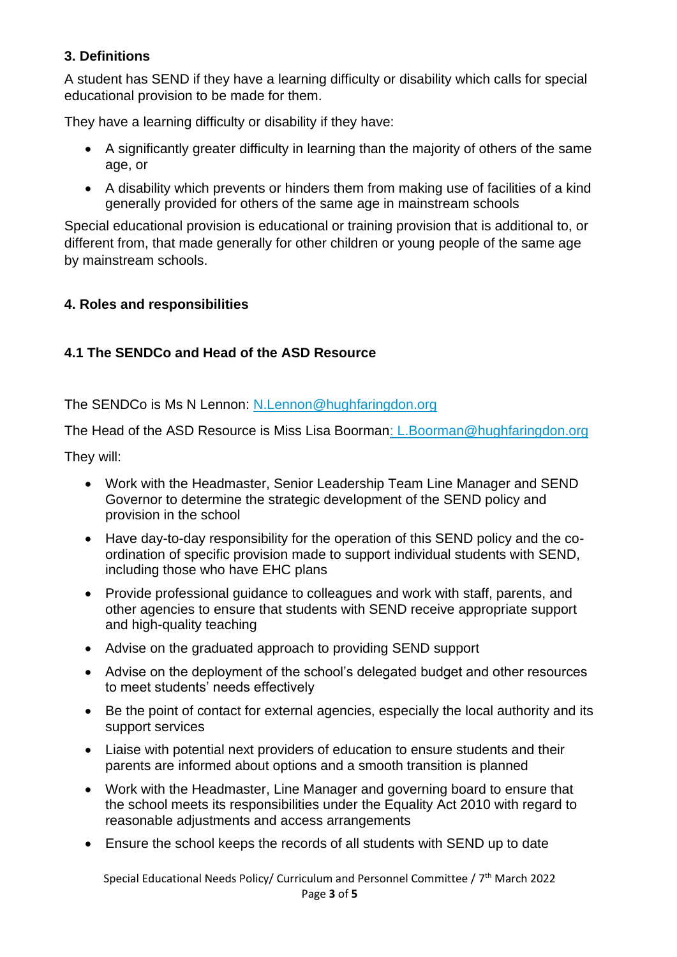### **3. Definitions**

A student has SEND if they have a learning difficulty or disability which calls for special educational provision to be made for them.

They have a learning difficulty or disability if they have:

- A significantly greater difficulty in learning than the majority of others of the same age, or
- A disability which prevents or hinders them from making use of facilities of a kind generally provided for others of the same age in mainstream schools

Special educational provision is educational or training provision that is additional to, or different from, that made generally for other children or young people of the same age by mainstream schools.

### **4. Roles and responsibilities**

# **4.1 The SENDCo and Head of the ASD Resource**

The SENDCo is Ms N Lennon: [N.Lennon@hughfaringdon.org](mailto:N.Lennon@hughfaringdon.org)

The Head of the ASD Resource is Miss Lisa Boorman: [L.Boorman@hughfaringdon.org](mailto:L.Boorman@hughfaringdon.org)

They will:

- Work with the Headmaster, Senior Leadership Team Line Manager and SEND Governor to determine the strategic development of the SEND policy and provision in the school
- Have day-to-day responsibility for the operation of this SEND policy and the coordination of specific provision made to support individual students with SEND, including those who have EHC plans
- Provide professional guidance to colleagues and work with staff, parents, and other agencies to ensure that students with SEND receive appropriate support and high-quality teaching
- Advise on the graduated approach to providing SEND support
- Advise on the deployment of the school's delegated budget and other resources to meet students' needs effectively
- Be the point of contact for external agencies, especially the local authority and its support services
- Liaise with potential next providers of education to ensure students and their parents are informed about options and a smooth transition is planned
- Work with the Headmaster, Line Manager and governing board to ensure that the school meets its responsibilities under the Equality Act 2010 with regard to reasonable adjustments and access arrangements
- Ensure the school keeps the records of all students with SEND up to date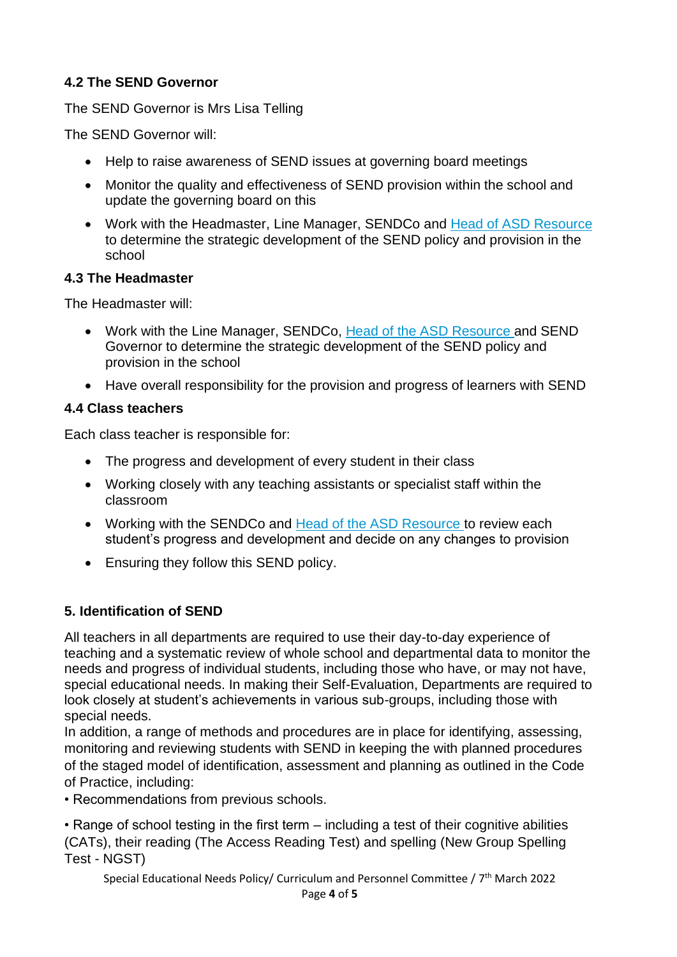# **4.2 The SEND Governor**

The SEND Governor is Mrs Lisa Telling

The SEND Governor will:

- Help to raise awareness of SEND issues at governing board meetings
- Monitor the quality and effectiveness of SEND provision within the school and update the governing board on this
- Work with the Headmaster, Line Manager, SENDCo and Head of ASD Resource to determine the strategic development of the SEND policy and provision in the school

#### **4.3 The Headmaster**

The Headmaster will:

- Work with the Line Manager, SENDCo, Head of the ASD Resource and SEND Governor to determine the strategic development of the SEND policy and provision in the school
- Have overall responsibility for the provision and progress of learners with SEND

### **4.4 Class teachers**

Each class teacher is responsible for:

- The progress and development of every student in their class
- Working closely with any teaching assistants or specialist staff within the classroom
- Working with the SENDCo and Head of the ASD Resource to review each student's progress and development and decide on any changes to provision
- Ensuring they follow this SEND policy.

# **5. Identification of SEND**

All teachers in all departments are required to use their day-to-day experience of teaching and a systematic review of whole school and departmental data to monitor the needs and progress of individual students, including those who have, or may not have, special educational needs. In making their Self-Evaluation, Departments are required to look closely at student's achievements in various sub-groups, including those with special needs.

In addition, a range of methods and procedures are in place for identifying, assessing, monitoring and reviewing students with SEND in keeping the with planned procedures of the staged model of identification, assessment and planning as outlined in the Code of Practice, including:

• Recommendations from previous schools.

• Range of school testing in the first term – including a test of their cognitive abilities (CATs), their reading (The Access Reading Test) and spelling (New Group Spelling Test - NGST)

Special Educational Needs Policy/ Curriculum and Personnel Committee / 7<sup>th</sup> March 2022